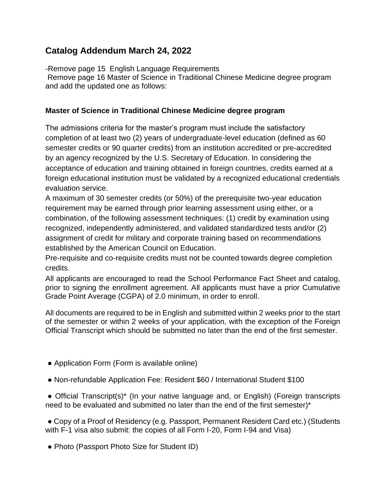## **Catalog Addendum March 24, 2022**

-Remove page 15 English Language Requirements

Remove page 16 Master of Science in Traditional Chinese Medicine degree program and add the updated one as follows:

## **Master of Science in Traditional Chinese Medicine degree program**

The admissions criteria for the master's program must include the satisfactory completion of at least two (2) years of undergraduate-level education (defined as 60 semester credits or 90 quarter credits) from an institution accredited or pre-accredited by an agency recognized by the U.S. Secretary of Education. In considering the acceptance of education and training obtained in foreign countries, credits earned at a foreign educational institution must be validated by a recognized educational credentials evaluation service.

A maximum of 30 semester credits (or 50%) of the prerequisite two-year education requirement may be earned through prior learning assessment using either, or a combination, of the following assessment techniques: (1) credit by examination using recognized, independently administered, and validated standardized tests and/or (2) assignment of credit for military and corporate training based on recommendations established by the American Council on Education.

Pre-requisite and co-requisite credits must not be counted towards degree completion credits.

All applicants are encouraged to read the School Performance Fact Sheet and catalog, prior to signing the enrollment agreement. All applicants must have a prior Cumulative Grade Point Average (CGPA) of 2.0 minimum, in order to enroll.

All documents are required to be in English and submitted within 2 weeks prior to the start of the semester or within 2 weeks of your application, with the exception of the Foreign Official Transcript which should be submitted no later than the end of the first semester.

- Application Form (Form is available online)
- Non-refundable Application Fee: Resident \$60 / International Student \$100

• Official Transcript(s)<sup>\*</sup> (In your native language and, or English) (Foreign transcripts need to be evaluated and submitted no later than the end of the first semester)\*

• Copy of a Proof of Residency (e.g. Passport, Permanent Resident Card etc.) (Students with F-1 visa also submit: the copies of all Form I-20, Form I-94 and Visa)

• Photo (Passport Photo Size for Student ID)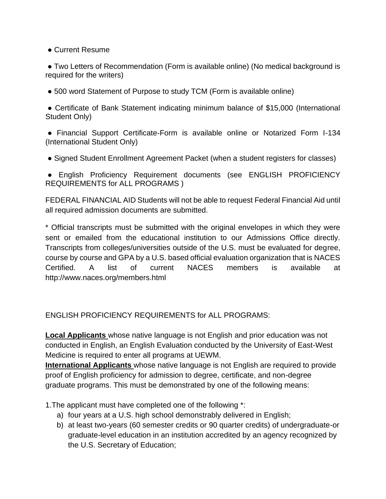● Current Resume

● Two Letters of Recommendation (Form is available online) (No medical background is required for the writers)

● 500 word Statement of Purpose to study TCM (Form is available online)

● Certificate of Bank Statement indicating minimum balance of \$15,000 (International Student Only)

● Financial Support Certificate-Form is available online or Notarized Form I-134 (International Student Only)

• Signed Student Enrollment Agreement Packet (when a student registers for classes)

● English Proficiency Requirement documents (see ENGLISH PROFICIENCY REQUIREMENTS for ALL PROGRAMS )

FEDERAL FINANCIAL AID Students will not be able to request Federal Financial Aid until all required admission documents are submitted.

\* Official transcripts must be submitted with the original envelopes in which they were sent or emailed from the educational institution to our Admissions Office directly. Transcripts from colleges/universities outside of the U.S. must be evaluated for degree, course by course and GPA by a U.S. based official evaluation organization that is NACES Certified. A list of current NACES members is available at http://www.naces.org/members.html

ENGLISH PROFICIENCY REQUIREMENTS for ALL PROGRAMS:

**Local Applicants** whose native language is not English and prior education was not conducted in English, an English Evaluation conducted by the University of East-West Medicine is required to enter all programs at UEWM.

**International Applicants** whose native language is not English are required to provide proof of English proficiency for admission to degree, certificate, and non-degree graduate programs. This must be demonstrated by one of the following means:

1.The applicant must have completed one of the following \*:

- a) four years at a U.S. high school demonstrably delivered in English;
- b) at least two-years (60 semester credits or 90 quarter credits) of undergraduate-or graduate-level education in an institution accredited by an agency recognized by the U.S. Secretary of Education;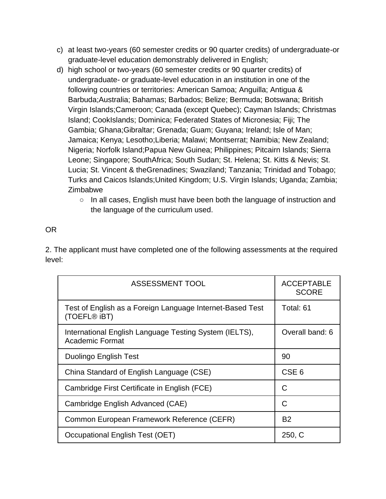- c) at least two-years (60 semester credits or 90 quarter credits) of undergraduate-or graduate-level education demonstrably delivered in English;
- d) high school or two-years (60 semester credits or 90 quarter credits) of undergraduate- or graduate-level education in an institution in one of the following countries or territories: American Samoa; Anguilla; Antigua & Barbuda;Australia; Bahamas; Barbados; Belize; Bermuda; Botswana; British Virgin Islands;Cameroon; Canada (except Quebec); Cayman Islands; Christmas Island; CookIslands; Dominica; Federated States of Micronesia; Fiji; The Gambia; Ghana;Gibraltar; Grenada; Guam; Guyana; Ireland; Isle of Man; Jamaica; Kenya; Lesotho;Liberia; Malawi; Montserrat; Namibia; New Zealand; Nigeria; Norfolk Island;Papua New Guinea; Philippines; Pitcairn Islands; Sierra Leone; Singapore; SouthAfrica; South Sudan; St. Helena; St. Kitts & Nevis; St. Lucia; St. Vincent & theGrenadines; Swaziland; Tanzania; Trinidad and Tobago; Turks and Caicos Islands;United Kingdom; U.S. Virgin Islands; Uganda; Zambia; Zimbabwe
	- In all cases, English must have been both the language of instruction and the language of the curriculum used.

## OR

2. The applicant must have completed one of the following assessments at the required level:

| <b>ASSESSMENT TOOL</b>                                                           | <b>ACCEPTABLE</b><br><b>SCORE</b> |
|----------------------------------------------------------------------------------|-----------------------------------|
| Test of English as a Foreign Language Internet-Based Test<br>(TOEFL® iBT)        | Total: 61                         |
| International English Language Testing System (IELTS),<br><b>Academic Format</b> | Overall band: 6                   |
| Duolingo English Test                                                            | 90                                |
| China Standard of English Language (CSE)                                         | CSE <sub>6</sub>                  |
| Cambridge First Certificate in English (FCE)                                     | C                                 |
| Cambridge English Advanced (CAE)                                                 | C                                 |
| Common European Framework Reference (CEFR)                                       | B <sub>2</sub>                    |
| Occupational English Test (OET)                                                  | 250, C                            |